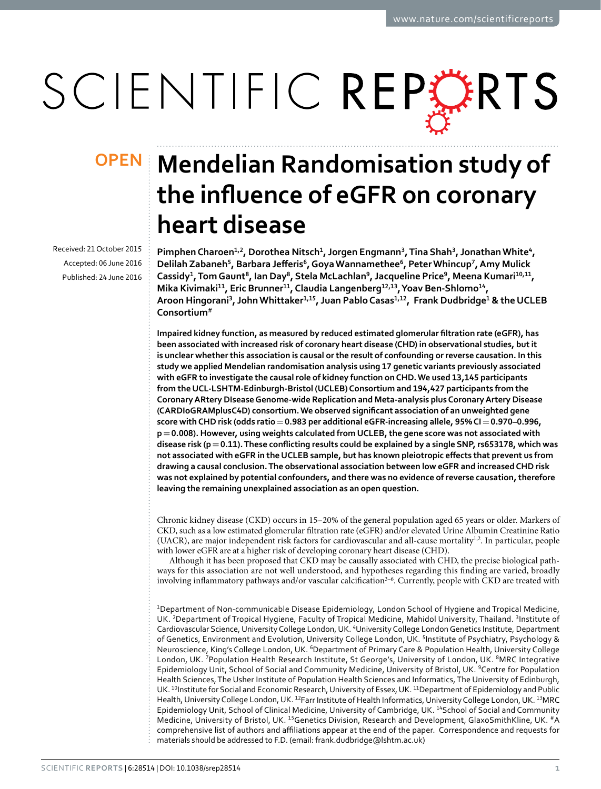# SCIENTIFIC REPORTS

Received: 21 October 2015 accepted: 06 June 2016 Published: 24 June 2016

## **Mendelian Randomisation study of OPENthe influence of eGFR on coronary heart disease**

**PimphenCharoen1,2, Dorothea Nitsch1, Jorgen Engmann3, Tina Shah<sup>3</sup>, JonathanWhite<sup>4</sup>, Delilah Zabaneh5, Barbara Jefferis6, GoyaWannamethee6, PeterWhincup7, Amy Mulick Cassidy<sup>1</sup>, Tom Gaunt8, Ian Day<sup>8</sup>, Stela McLachlan9, Jacqueline Price9, Meena Kumari10,<sup>11</sup>, Mika Kivimaki11, Eric Brunner11, Claudia Langenberg12,<sup>13</sup>, Yoav Ben-Shlomo<sup>14</sup>, Aroon Hingorani3, JohnWhittaker1,<sup>15</sup>, Juan Pablo Casas<sup>1</sup>,12, Frank Dudbridge1 & the UCLEB Consortium**#

**Impaired kidney function, as measured by reduced estimated glomerular filtration rate (eGFR), has been associated with increased risk of coronary heart disease (CHD) in observational studies, but it is unclear whether this association is causal or the result of confounding or reverse causation. In this study we applied Mendelian randomisation analysis using 17 genetic variants previously associated with eGFR to investigate the causal role of kidney function on CHD. We used 13,145 participants from the UCL-LSHTM-Edinburgh-Bristol (UCLEB) Consortium and 194,427 participants from the Coronary ARtery DIsease Genome-wide Replication and Meta-analysis plus Coronary Artery Disease (CARDIoGRAMplusC4D) consortium. We observed significant association of an unweighted gene score with CHD risk (odds ratio=0.983 per additional eGFR-increasing allele, 95% CI=0.970–0.996, p=0.008). However, using weights calculated from UCLEB, the gene score was not associated with disease risk (p=0.11). These conflicting results could be explained by a single SNP, rs653178, which was not associated with eGFR in the UCLEB sample, but has known pleiotropic effects that prevent us from drawing a causal conclusion. The observational association between low eGFR and increased CHD risk was not explained by potential confounders, and there was no evidence of reverse causation, therefore leaving the remaining unexplained association as an open question.**

Chronic kidney disease (CKD) occurs in 15–20% of the general population aged 65 years or older. Markers of CKD, such as a low estimated glomerular filtration rate (eGFR) and/or elevated Urine Albumin Creatinine Ratio (UACR), are major independent risk factors for cardiovascular and all-cause mortalit[y1](#page-5-0),[2](#page-5-1). In particular, people with lower eGFR are at a higher risk of developing coronary heart disease (CHD).

Although it has been proposed that CKD may be causally associated with CHD, the precise biological pathways for this association are not well understood, and hypotheses regarding this finding are varied, broadly involving inflammatory pathways and/or vascular calcification<sup>3-6</sup>. Currently, people with CKD are treated with

<sup>1</sup>Department of Non-communicable Disease Epidemiology, London School of Hygiene and Tropical Medicine, UK. <sup>2</sup>Department of Tropical Hygiene, Faculty of Tropical Medicine, Mahidol University, Thailand. <sup>3</sup>Institute of Cardiovascular Science, University College London, UK. 'University College London Genetics Institute, Department of Genetics, Environment and Evolution, University College London, UK. <sup>5</sup>Institute of Psychiatry, Psychology & Neuroscience, King's College London, UK. <sup>6</sup>Department of Primary Care & Population Health, University College London, UK. <sup>7</sup>Population Health Research Institute, St George's, University of London, UK. <sup>8</sup>MRC Integrative Epidemiology Unit, School of Social and Community Medicine, University of Bristol, UK. <sup>9</sup>Centre for Population Health Sciences, The Usher Institute of Population Health Sciences and Informatics, The University of Edinburgh, UK. 10Institute for Social and Economic Research, University of Essex, UK. <sup>11</sup>Department of Epidemiology and Public Health, University College London, UK. <sup>12</sup>Farr Institute of Health Informatics, University College London, UK. <sup>13</sup>MRC Epidemiology Unit, School of Clinical Medicine, University of Cambridge, UK. <sup>14</sup>School of Social and Community Medicine, University of Bristol, UK. <sup>15</sup>Genetics Division, Research and Development, GlaxoSmithKline, UK. <sup>#</sup>A comprehensive list of authors and affiliations appear at the end of the paper. Correspondence and requests for materials should be addressed to F.D. (email: [frank.dudbridge@lshtm.ac.uk\)](mailto:frank.dudbridge@lshtm.ac.uk)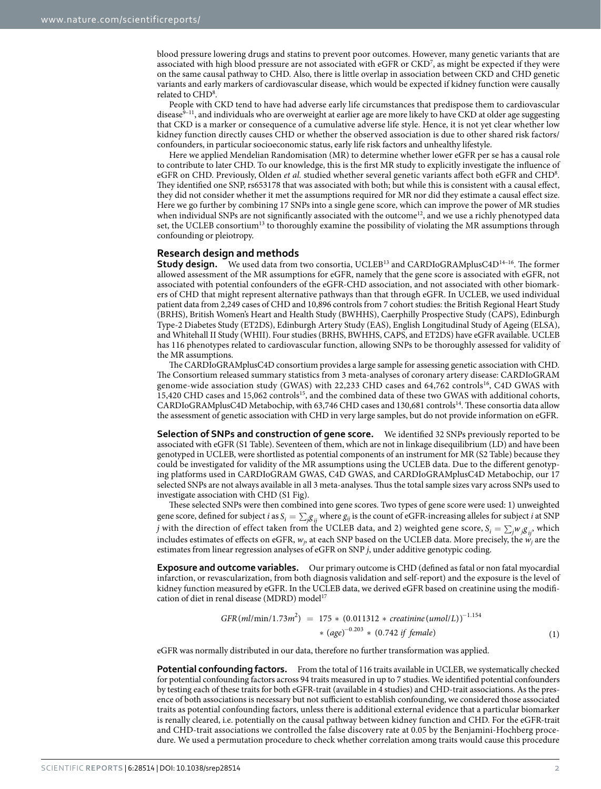blood pressure lowering drugs and statins to prevent poor outcomes. However, many genetic variants that are associated with high blood pressure are not associated with eGFR or CK[D7](#page-5-3) , as might be expected if they were on the same causal pathway to CHD. Also, there is little overlap in association between CKD and CHD genetic variants and early markers of cardiovascular disease, which would be expected if kidney function were causally related to CHD<sup>8</sup>.

People with CKD tend to have had adverse early life circumstances that predispose them to cardiovascular disease<sup>9-11</sup>, and individuals who are overweight at earlier age are more likely to have CKD at older age suggesting that CKD is a marker or consequence of a cumulative adverse life style. Hence, it is not yet clear whether low kidney function directly causes CHD or whether the observed association is due to other shared risk factors/ confounders, in particular socioeconomic status, early life risk factors and unhealthy lifestyle.

Here we applied Mendelian Randomisation (MR) to determine whether lower eGFR per se has a causal role to contribute to later CHD. To our knowledge, this is the first MR study to explicitly investigate the influence of eGFR on CHD. Previously, Olden *et al.* studied whether several genetic variants affect both eGFR and CHD[8](#page-5-4) . They identified one SNP, rs653178 that was associated with both; but while this is consistent with a causal effect, they did not consider whether it met the assumptions required for MR nor did they estimate a causal effect size. Here we go further by combining 17 SNPs into a single gene score, which can improve the power of MR studies when individual SNPs are not significantly associated with the outcome<sup>[12](#page-5-6)</sup>, and we use a richly phenotyped data set, the UCLEB consortium<sup>[13](#page-6-0)</sup> to thoroughly examine the possibility of violating the MR assumptions through confounding or pleiotropy.

#### **Research design and methods**

**Study design.** We used data from two consortia, UCLEB<sup>13</sup> and CARDIoGRAMplusC4D<sup>14-16</sup>. The former allowed assessment of the MR assumptions for eGFR, namely that the gene score is associated with eGFR, not associated with potential confounders of the eGFR-CHD association, and not associated with other biomarkers of CHD that might represent alternative pathways than that through eGFR. In UCLEB, we used individual patient data from 2,249 cases of CHD and 10,896 controls from 7 cohort studies: the British Regional Heart Study (BRHS), British Women's Heart and Health Study (BWHHS), Caerphilly Prospective Study (CAPS), Edinburgh Type-2 Diabetes Study (ET2DS), Edinburgh Artery Study (EAS), English Longitudinal Study of Ageing (ELSA), and Whitehall II Study (WHII). Four studies (BRHS, BWHHS, CAPS, and ET2DS) have eGFR available. UCLEB has 116 phenotypes related to cardiovascular function, allowing SNPs to be thoroughly assessed for validity of the MR assumptions.

The CARDIoGRAMplusC4D consortium provides a large sample for assessing genetic association with CHD. The Consortium released summary statistics from 3 meta-analyses of coronary artery disease: CARDIoGRAM genome-wide association study (GWAS) with 22,233 CHD cases and 64,762 controls<sup>16</sup>, C4D GWAS with [15,](#page-6-3)420 CHD cases and 15,062 controls<sup>15</sup>, and the combined data of these two GWAS with additional cohorts, CARDIoGRAMplusC4D Metabochip, with 63,746 CHD cases and 130,681 controls<sup>[14](#page-6-1)</sup>. These consortia data allow the assessment of genetic association with CHD in very large samples, but do not provide information on eGFR.

**Selection of SNPs and construction of gene score.** We identified 32 SNPs previously reported to be associated with eGFR (S1 Table). Seventeen of them, which are not in linkage disequilibrium (LD) and have been genotyped in UCLEB, were shortlisted as potential components of an instrument for MR (S2 Table) because they could be investigated for validity of the MR assumptions using the UCLEB data. Due to the different genotyping platforms used in CARDIoGRAM GWAS, C4D GWAS, and CARDIoGRAMplusC4D Metabochip, our 17 selected SNPs are not always available in all 3 meta-analyses. Thus the total sample sizes vary across SNPs used to investigate association with CHD (S1 Fig).

These selected SNPs were then combined into gene scores. Two types of gene score were used: 1) unweighted gene score, defined for subject *i* as  $S_i = \sum_j g_{ij}$  where  $g_{ij}$  is the count of eGFR-increasing alleles for subject *i* at SNP *j* with the direction of effect taken from the UCLEB data, and 2) weighted gene score,  $S_i = \sum_j w_j g_{ij}$ , which includes estimates of effects on eGFR,  $w_j$ , at each SNP based on the UCLEB data. More precisely, the  $w_j$  are the estimates from linear regression analyses of eGFR on SNP *j*, under additive genotypic coding.

**Exposure and outcome variables.** Our primary outcome is CHD (defined as fatal or non fatal myocardial infarction, or revascularization, from both diagnosis validation and self-report) and the exposure is the level of kidney function measured by eGFR. In the UCLEB data, we derived eGFR based on creatinine using the modification of diet in renal disease (MDRD) model<sup>17</sup>

$$
GFR(ml/min/1.73m2) = 175 * (0.011312 * creationine(numol/L))-1.154
$$
  
\*(age)<sup>-0.203</sup> \* (0.742 if female) (1)

eGFR was normally distributed in our data, therefore no further transformation was applied.

**Potential confounding factors.** From the total of 116 traits available in UCLEB, we systematically checked for potential confounding factors across 94 traits measured in up to 7 studies. We identified potential confounders by testing each of these traits for both eGFR-trait (available in 4 studies) and CHD-trait associations. As the presence of both associations is necessary but not sufficient to establish confounding, we considered those associated traits as potential confounding factors, unless there is additional external evidence that a particular biomarker is renally cleared, i.e. potentially on the causal pathway between kidney function and CHD. For the eGFR-trait and CHD-trait associations we controlled the false discovery rate at 0.05 by the Benjamini-Hochberg procedure. We used a permutation procedure to check whether correlation among traits would cause this procedure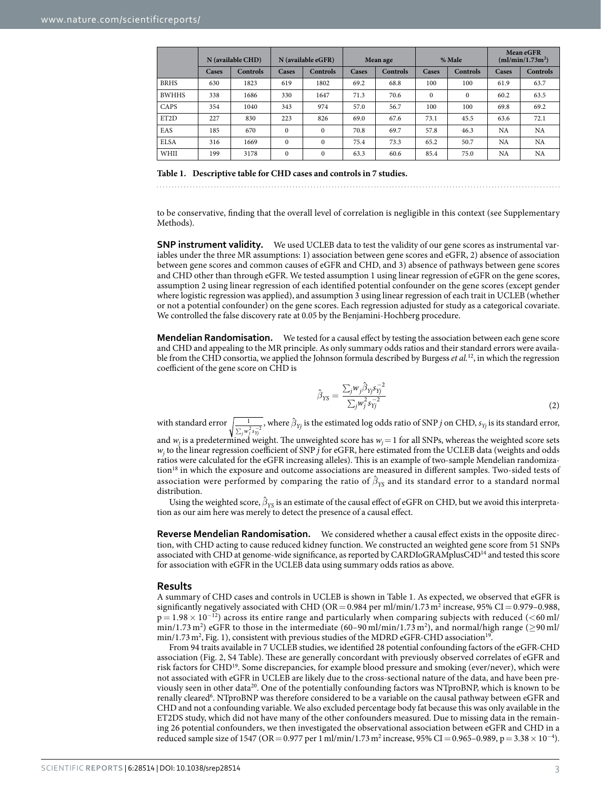<span id="page-2-0"></span>

|              | N (available CHD) |          | N (available eGFR) |              | Mean age |                 | % Male   |              | Mean eGFR<br>(ml/min/1.73m <sup>2</sup> ) |          |
|--------------|-------------------|----------|--------------------|--------------|----------|-----------------|----------|--------------|-------------------------------------------|----------|
|              | Cases             | Controls | Cases              | Controls     | Cases    | <b>Controls</b> | Cases    | Controls     | Cases                                     | Controls |
| <b>BRHS</b>  | 630               | 1823     | 619                | 1802         | 69.2     | 68.8            | 100      | 100          | 61.9                                      | 63.7     |
| <b>BWHHS</b> | 338               | 1686     | 330                | 1647         | 71.3     | 70.6            | $\Omega$ | $\mathbf{0}$ | 60.2                                      | 63.5     |
| CAPS         | 354               | 1040     | 343                | 974          | 57.0     | 56.7            | 100      | 100          | 69.8                                      | 69.2     |
| ET2D         | 227               | 830      | 223                | 826          | 69.0     | 67.6            | 73.1     | 45.5         | 63.6                                      | 72.1     |
| EAS          | 185               | 670      | $\Omega$           | $\mathbf{0}$ | 70.8     | 69.7            | 57.8     | 46.3         | NA                                        | NA       |
| <b>ELSA</b>  | 316               | 1669     | $\Omega$           | $\theta$     | 75.4     | 73.3            | 65.2     | 50.7         | NA                                        | NA       |
| WHII         | 199               | 3178     | $\Omega$           | $\mathbf{0}$ | 63.3     | 60.6            | 85.4     | 75.0         | NA                                        | NA       |

**Table 1. Descriptive table for CHD cases and controls in 7 studies.**

to be conservative, finding that the overall level of correlation is negligible in this context (see Supplementary Methods).

**SNP instrument validity.** We used UCLEB data to test the validity of our gene scores as instrumental variables under the three MR assumptions: 1) association between gene scores and eGFR, 2) absence of association between gene scores and common causes of eGFR and CHD, and 3) absence of pathways between gene scores and CHD other than through eGFR. We tested assumption 1 using linear regression of eGFR on the gene scores, assumption 2 using linear regression of each identified potential confounder on the gene scores (except gender where logistic regression was applied), and assumption 3 using linear regression of each trait in UCLEB (whether or not a potential confounder) on the gene scores. Each regression adjusted for study as a categorical covariate. We controlled the false discovery rate at 0.05 by the Benjamini-Hochberg procedure.

**Mendelian Randomisation.** We tested for a causal effect by testing the association between each gene score and CHD and appealing to the MR principle. As only summary odds ratios and their standard errors were available from the CHD consortia, we applied the Johnson formula described by Burgess *et al.*[12](#page-5-6), in which the regression coefficient of the gene score on CHD is

$$
\hat{\beta}_{YS} = \frac{\sum_{j} w_{j} \hat{\beta}_{Yj} s_{Yj}^{-2}}{\sum_{j} w_{j}^{2} s_{Yj}^{-2}}
$$
\n(2)

with standard error  $\sqrt{2}$  $\frac{1}{\sum_j w_j^2 s_{yj}^{-2}}$ , where  $\hat{\beta}_{Yj}$  is the estimated log odds ratio of SNP *j* on CHD,  $s_{Yj}$  is its standard error, and  $w_j$  is a predetermined weight. The unweighted score has  $w_j = 1$  for all SNPs, whereas the weighted score sets  $w_j$  to the linear regression coefficient of SNP *j* for eGFR, here estimated from the UCLEB data (weights and odds ratios were calculated for the eGFR increasing alleles). This is an example of two-sample Mendelian randomization[18](#page-6-5) in which the exposure and outcome associations are measured in different samples. Two-sided tests of association were performed by comparing the ratio of  $\hat{\beta}_{YS}$  and its standard error to a standard normal distribution.

Using the weighted score,  $\hat{\beta}_{YS}$  is an estimate of the causal effect of eGFR on CHD, but we avoid this interpretation as our aim here was merely to detect the presence of a causal effect.

**Reverse Mendelian Randomisation.** We considered whether a causal effect exists in the opposite direction, with CHD acting to cause reduced kidney function. We constructed an weighted gene score from 51 SNPs associated with CHD at genome-wide significance, as reported by CARDIoGRAMplusC4D<sup>14</sup> and tested this score for association with eGFR in the UCLEB data using summary odds ratios as above.

#### **Results**

A summary of CHD cases and controls in UCLEB is shown in [Table 1.](#page-2-0) As expected, we observed that eGFR is significantly negatively associated with CHD ( $OR = 0.984$  per ml/min/1.73 m<sup>2</sup> increase, 95% CI = 0.979-0.988,  $p = 1.98 \times 10^{-12}$ ) across its entire range and particularly when comparing subjects with reduced (<60 ml/ min/1.73 m<sup>2</sup>) eGFR to those in the intermediate (60–90 ml/min/1.73 m<sup>2</sup>), and normal/high range ( $\geq$ 90 ml/ min/1.73 m<sup>2</sup>, [Fig. 1](#page-3-0)), consistent with previous studies of the MDRD eGFR-CHD association<sup>19</sup>.

From 94 traits available in 7 UCLEB studies, we identified 28 potential confounding factors of the eGFR-CHD association [\(Fig. 2,](#page-3-1) S4 Table). These are generally concordant with previously observed correlates of eGFR and risk factors for CH[D19.](#page-6-6) Some discrepancies, for example blood pressure and smoking (ever/never), which were not associated with eGFR in UCLEB are likely due to the cross-sectional nature of the data, and have been previously seen in other data<sup>20</sup>. One of the potentially confounding factors was NTproBNP, which is known to be renally cleared<sup>6</sup>. NTproBNP was therefore considered to be a variable on the causal pathway between eGFR and CHD and not a confounding variable. We also excluded percentage body fat because this was only available in the ET2DS study, which did not have many of the other confounders measured. Due to missing data in the remaining 26 potential confounders, we then investigated the observational association between eGFR and CHD in a reduced sample size of 1547 (OR = 0.977 per 1 ml/min/1.73 m<sup>2</sup> increase, 95% CI = 0.965–0.989, p = 3.38 × 10<sup>-4</sup>).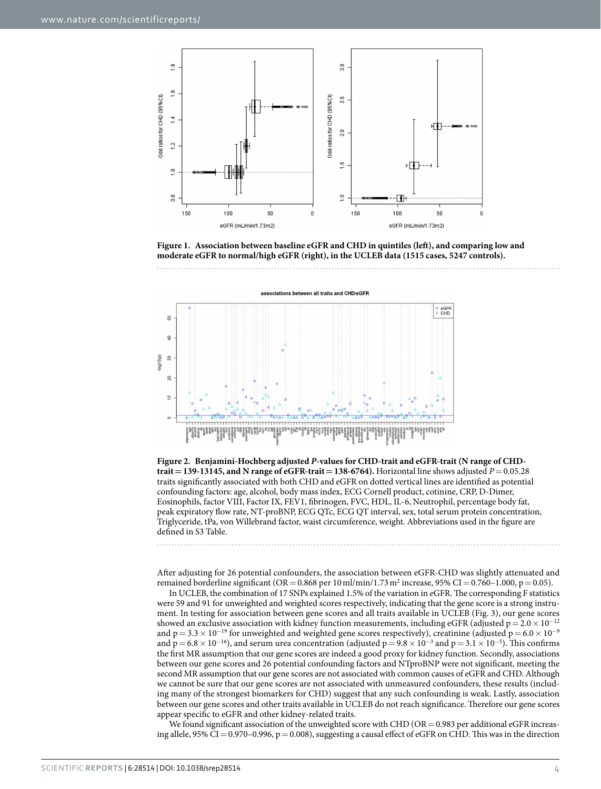

<span id="page-3-0"></span>**Figure 1. Association between baseline eGFR and CHD in quintiles (left), and comparing low and moderate eGFR to normal/high eGFR (right), in the UCLEB data (1515 cases, 5247 controls).** 

associations between all traits and CHD/eGFF



<span id="page-3-1"></span>**Figure 2. Benjamini-Hochberg adjusted** *P***-values for CHD-trait and eGFR-trait (N range of CHDtrait** = 139-13145, and N range of eGFR-trait = 138-6764). Horizontal line shows adjusted  $P = 0.05.28$ traits significantly associated with both CHD and eGFR on dotted vertical lines are identified as potential confounding factors: age, alcohol, body mass index, ECG Cornell product, cotinine, CRP, D-Dimer, Eosinophils, factor VIII, Factor IX, FEV1, fibrinogen, FVC, HDL, IL-6, Neutrophil, percentage body fat, peak expiratory flow rate, NT-proBNP, ECG QTc, ECG QT interval, sex, total serum protein concentration, Triglyceride, tPa, von Willebrand factor, waist circumference, weight. Abbreviations used in the figure are defined in S3 Table.

After adjusting for 26 potential confounders, the association between eGFR-CHD was slightly attenuated and remained borderline significant (OR = 0.868 per 10 ml/min/1.73 m<sup>2</sup> increase, 95% CI = 0.760-1.000, p = 0.05).

In UCLEB, the combination of 17 SNPs explained 1.5% of the variation in eGFR. The corresponding F statistics were 59 and 91 for unweighted and weighted scores respectively, indicating that the gene score is a strong instrument. In testing for association between gene scores and all traits available in UCLEB ([Fig. 3\)](#page-4-0), our gene scores showed an exclusive association with kidney function measurements, including eGFR (adjusted p=  $2.0 \times 10^{-12}$ ) and p =  $3.3 \times 10^{-19}$  for unweighted and weighted gene scores respectively), creatinine (adjusted p =  $6.0 \times 10^{-9}$ and p =  $6.8\times10^{-16}$ ), and serum urea concentration (adjusted p =  $9.8\times10^{-3}$  and p =  $3.1\times10^{-5}$ ). This confirms the first MR assumption that our gene scores are indeed a good proxy for kidney function. Secondly, associations between our gene scores and 26 potential confounding factors and NTproBNP were not significant, meeting the second MR assumption that our gene scores are not associated with common causes of eGFR and CHD. Although we cannot be sure that our gene scores are not associated with unmeasured confounders, these results (including many of the strongest biomarkers for CHD) suggest that any such confounding is weak. Lastly, association between our gene scores and other traits available in UCLEB do not reach significance. Therefore our gene scores appear specific to eGFR and other kidney-related traits.

We found significant association of the unweighted score with CHD (OR  $= 0.983$  per additional eGFR increasing allele, 95% CI =  $0.970-0.996$ , p= 0.008), suggesting a causal effect of eGFR on CHD. This was in the direction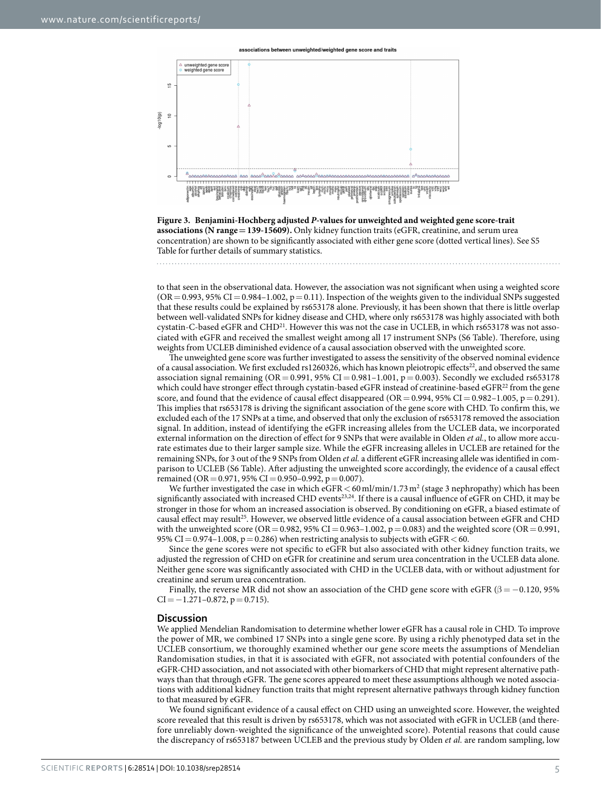associations between unweighted/weighted gene score and traits



<span id="page-4-0"></span>**Figure 3. Benjamini-Hochberg adjusted** *P***-values for unweighted and weighted gene score-trait associations (N range=139-15609).** Only kidney function traits (eGFR, creatinine, and serum urea concentration) are shown to be significantly associated with either gene score (dotted vertical lines). See S5 Table for further details of summary statistics.

to that seen in the observational data. However, the association was not significant when using a weighted score  $(OR = 0.993, 95\% \text{ CI} = 0.984 - 1.002, p = 0.11)$ . Inspection of the weights given to the individual SNPs suggested that these results could be explained by rs653178 alone. Previously, it has been shown that there is little overlap between well-validated SNPs for kidney disease and CHD, where only rs653178 was highly associated with both cystatin-C-based eGFR and CHD<sup>21</sup>. However this was not the case in UCLEB, in which rs653178 was not associated with eGFR and received the smallest weight among all 17 instrument SNPs (S6 Table). Therefore, using weights from UCLEB diminished evidence of a causal association observed with the unweighted score.

The unweighted gene score was further investigated to assess the sensitivity of the observed nominal evidence of a causal association. We first excluded rs1260326, which has known pleiotropic effects<sup>22</sup>, and observed the same association signal remaining ( $OR = 0.991$ ,  $95\%$  CI = 0.981-1.001, p = 0.003). Secondly we excluded rs653178 which could have stronger effect through cystatin-based eGFR instead of creatinine-based eGFR<sup>[22](#page-6-9)</sup> from the gene score, and found that the evidence of causal effect disappeared ( $OR = 0.994$ , 95% CI = 0.982–1.005, p = 0.291). This implies that rs653178 is driving the significant association of the gene score with CHD. To confirm this, we excluded each of the 17 SNPs at a time, and observed that only the exclusion of rs653178 removed the association signal. In addition, instead of identifying the eGFR increasing alleles from the UCLEB data, we incorporated external information on the direction of effect for 9 SNPs that were available in Olden *et al.*, to allow more accurate estimates due to their larger sample size. While the eGFR increasing alleles in UCLEB are retained for the remaining SNPs, for 3 out of the 9 SNPs from Olden *et al.* a different eGFR increasing allele was identified in comparison to UCLEB (S6 Table). After adjusting the unweighted score accordingly, the evidence of a causal effect remained (OR = 0.971, 95% CI = 0.950-0.992, p = 0.007).

We further investigated the case in which eGFR  $<$  60 ml/min/1.73 m<sup>2</sup> (stage 3 nephropathy) which has been significantly associated with increased CHD events<sup>23,24</sup>. If there is a causal influence of eGFR on CHD, it may be stronger in those for whom an increased association is observed. By conditioning on eGFR, a biased estimate of causal effect may result<sup>[25](#page-6-12)</sup>. However, we observed little evidence of a causal association between eGFR and CHD with the unweighted score (OR = 0.982, 95% CI = 0.963–1.002, p = 0.083) and the weighted score (OR = 0.991, 95% CI = 0.974–1.008, p = 0.286) when restricting analysis to subjects with eGFR  $<$  60.

Since the gene scores were not specific to eGFR but also associated with other kidney function traits, we adjusted the regression of CHD on eGFR for creatinine and serum urea concentration in the UCLEB data alone. Neither gene score was significantly associated with CHD in the UCLEB data, with or without adjustment for creatinine and serum urea concentration.

Finally, the reverse MR did not show an association of the CHD gene score with eGFR ( $\beta = -0.120$ , 95%  $CI = -1.271 - 0.872$ ,  $p = 0.715$ ).

#### **Discussion**

We applied Mendelian Randomisation to determine whether lower eGFR has a causal role in CHD. To improve the power of MR, we combined 17 SNPs into a single gene score. By using a richly phenotyped data set in the UCLEB consortium, we thoroughly examined whether our gene score meets the assumptions of Mendelian Randomisation studies, in that it is associated with eGFR, not associated with potential confounders of the eGFR-CHD association, and not associated with other biomarkers of CHD that might represent alternative pathways than that through eGFR. The gene scores appeared to meet these assumptions although we noted associations with additional kidney function traits that might represent alternative pathways through kidney function to that measured by eGFR.

We found significant evidence of a causal effect on CHD using an unweighted score. However, the weighted score revealed that this result is driven by rs653178, which was not associated with eGFR in UCLEB (and therefore unreliably down-weighted the significance of the unweighted score). Potential reasons that could cause the discrepancy of rs653187 between UCLEB and the previous study by Olden *et al.* are random sampling, low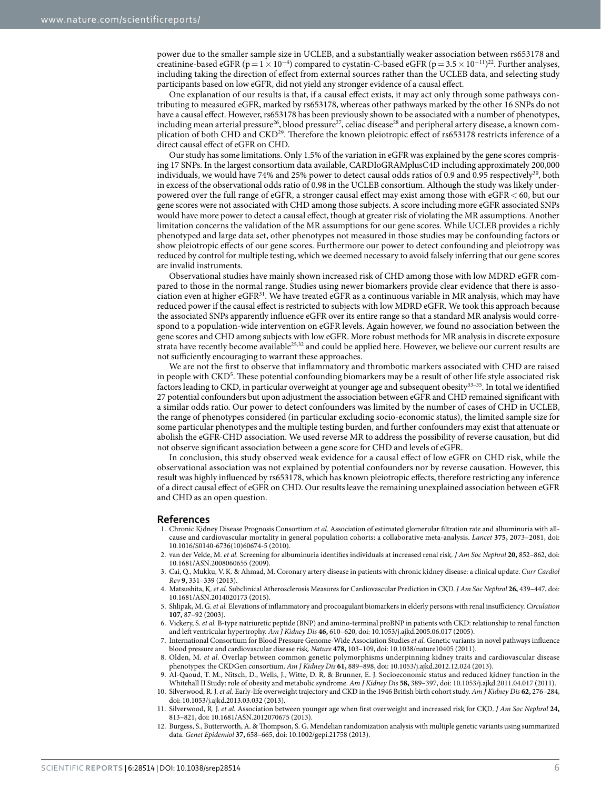power due to the smaller sample size in UCLEB, and a substantially weaker association between rs653178 and creatinine-based eGFR ( $p=1\times10^{-4}$ ) compared to cystatin-C-based eGFR ( $p=3.5\times10^{-11}$ )<sup>[22](#page-6-9)</sup>. Further analyses, including taking the direction of effect from external sources rather than the UCLEB data, and selecting study participants based on low eGFR, did not yield any stronger evidence of a causal effect.

One explanation of our results is that, if a causal effect exists, it may act only through some pathways contributing to measured eGFR, marked by rs653178, whereas other pathways marked by the other 16 SNPs do not have a causal effect. However, rs653178 has been previously shown to be associated with a number of phenotypes, including mean arterial pressure<sup>[26](#page-6-13)</sup>, blood pressure<sup>[27](#page-6-14)</sup>, celiac disease<sup>[28](#page-6-15)</sup> and peripheral artery disease, a known com-plication of both CHD and CKD<sup>[29](#page-6-16)</sup>. Therefore the known pleiotropic effect of rs653178 restricts inference of a direct causal effect of eGFR on CHD.

Our study has some limitations. Only 1.5% of the variation in eGFR was explained by the gene scores comprising 17 SNPs. In the largest consortium data available, CARDIoGRAMplusC4D including approximately 200,000 individuals, we would have 74% and 25% power to detect causal odds ratios of 0.9 and 0.95 respectively<sup>30</sup>, both in excess of the observational odds ratio of 0.98 in the UCLEB consortium. Although the study was likely underpowered over the full range of eGFR, a stronger causal effect may exist among those with eGFR< 60, but our gene scores were not associated with CHD among those subjects. A score including more eGFR associated SNPs would have more power to detect a causal effect, though at greater risk of violating the MR assumptions. Another limitation concerns the validation of the MR assumptions for our gene scores. While UCLEB provides a richly phenotyped and large data set, other phenotypes not measured in those studies may be confounding factors or show pleiotropic effects of our gene scores. Furthermore our power to detect confounding and pleiotropy was reduced by control for multiple testing, which we deemed necessary to avoid falsely inferring that our gene scores are invalid instruments.

Observational studies have mainly shown increased risk of CHD among those with low MDRD eGFR compared to those in the normal range. Studies using newer biomarkers provide clear evidence that there is association even at higher  $e$ GFR<sup>31</sup>. We have treated  $e$ GFR as a continuous variable in MR analysis, which may have reduced power if the causal effect is restricted to subjects with low MDRD eGFR. We took this approach because the associated SNPs apparently influence eGFR over its entire range so that a standard MR analysis would correspond to a population-wide intervention on eGFR levels. Again however, we found no association between the gene scores and CHD among subjects with low eGFR. More robust methods for MR analysis in discrete exposure strata have recently become availabl[e25](#page-6-12)[,32](#page-6-19) and could be applied here. However, we believe our current results are not sufficiently encouraging to warrant these approaches.

We are not the first to observe that inflammatory and thrombotic markers associated with CHD are raised in people with CKD<sup>5</sup>. These potential confounding biomarkers may be a result of other life style associated risk factors leading to CKD, in particular overweight at younger age and subsequent obesity<sup>33-35</sup>. In total we identified 27 potential confounders but upon adjustment the association between eGFR and CHD remained significant with a similar odds ratio. Our power to detect confounders was limited by the number of cases of CHD in UCLEB, the range of phenotypes considered (in particular excluding socio-economic status), the limited sample size for some particular phenotypes and the multiple testing burden, and further confounders may exist that attenuate or abolish the eGFR-CHD association. We used reverse MR to address the possibility of reverse causation, but did not observe significant association between a gene score for CHD and levels of eGFR.

In conclusion, this study observed weak evidence for a causal effect of low eGFR on CHD risk, while the observational association was not explained by potential confounders nor by reverse causation. However, this result was highly influenced by rs653178, which has known pleiotropic effects, therefore restricting any inference of a direct causal effect of eGFR on CHD. Our results leave the remaining unexplained association between eGFR and CHD as an open question.

#### **References**

- <span id="page-5-0"></span>1. Chronic Kidney Disease Prognosis Consortium *et al.* Association of estimated glomerular filtration rate and albuminuria with allcause and cardiovascular mortality in general population cohorts: a collaborative meta-analysis. *Lancet* **375,** 2073–2081, doi: 10.1016/S0140-6736(10)60674-5 (2010).
- <span id="page-5-1"></span>2. van der Velde, M. *et al.* Screening for albuminuria identifies individuals at increased renal risk. *J Am Soc Nephrol* **20,** 852–862, doi: 10.1681/ASN.2008060655 (2009).
- <span id="page-5-2"></span>3. Cai, Q., Mukku, V. K. & Ahmad, M. Coronary artery disease in patients with chronic kidney disease: a clinical update. *Curr Cardiol Rev* **9,** 331–339 (2013).
- 4. Matsushita, K. *et al.* Subclinical Atherosclerosis Measures for Cardiovascular Prediction in CKD. *J Am Soc Nephrol* **26,** 439–447, doi: 10.1681/ASN.2014020173 (2015).
- <span id="page-5-8"></span>5. Shlipak, M. G. *et al.* Elevations of inflammatory and procoagulant biomarkers in elderly persons with renal insufficiency. *Circulation* **107,** 87–92 (2003).
- <span id="page-5-7"></span>6. Vickery, S. *et al.* B-type natriuretic peptide (BNP) and amino-terminal proBNP in patients with CKD: relationship to renal function and left ventricular hypertrophy. *Am J Kidney Dis* **46,** 610–620, doi: 10.1053/j.ajkd.2005.06.017 (2005).
- <span id="page-5-3"></span>7. International Consortium for Blood Pressure Genome-Wide Association Studies *et al.* Genetic variants in novel pathways influence blood pressure and cardiovascular disease risk. *Nature* **478,** 103–109, doi: 10.1038/nature10405 (2011).
- <span id="page-5-4"></span>8. Olden, M. *et al.* Overlap between common genetic polymorphisms underpinning kidney traits and cardiovascular disease phenotypes: the CKDGen consortium. *Am J Kidney Dis* **61,** 889–898, doi: 10.1053/j.ajkd.2012.12.024 (2013).
- <span id="page-5-5"></span>9. Al-Qaoud, T. M., Nitsch, D., Wells, J., Witte, D. R. & Brunner, E. J. Socioeconomic status and reduced kidney function in the Whitehall II Study: role of obesity and metabolic syndrome. *Am J Kidney Dis* **58,** 389–397, doi: 10.1053/j.ajkd.2011.04.017 (2011).
- 10. Silverwood, R. J. *et al.* Early-life overweight trajectory and CKD in the 1946 British birth cohort study. *Am J Kidney Dis* **62,** 276–284, doi: 10.1053/j.ajkd.2013.03.032 (2013).
- 11. Silverwood, R. J. *et al.* Association between younger age when first overweight and increased risk for CKD. *J Am Soc Nephrol* **24,** 813–821, doi: 10.1681/ASN.2012070675 (2013).
- <span id="page-5-6"></span>12. Burgess, S., Butterworth, A. & Thompson, S. G. Mendelian randomization analysis with multiple genetic variants using summarized data. *Genet Epidemiol* **37,** 658–665, doi: 10.1002/gepi.21758 (2013).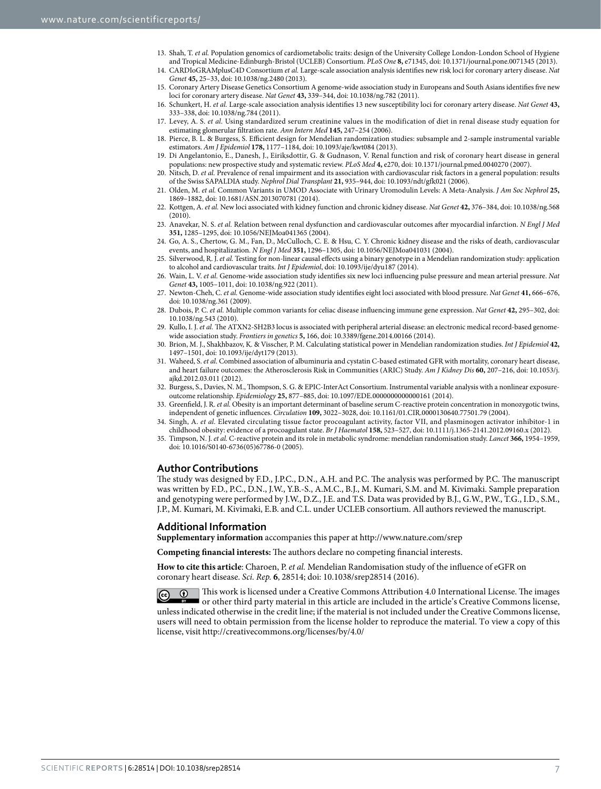- <span id="page-6-0"></span>13. Shah, T. *et al.* Population genomics of cardiometabolic traits: design of the University College London-London School of Hygiene and Tropical Medicine-Edinburgh-Bristol (UCLEB) Consortium. *PLoS One* **8,** e71345, doi: 10.1371/journal.pone.0071345 (2013).
- <span id="page-6-1"></span>14. CARDIoGRAMplusC4D Consortium *et al.* Large-scale association analysis identifies new risk loci for coronary artery disease. *Nat Genet* **45,** 25–33, doi: 10.1038/ng.2480 (2013).
- <span id="page-6-3"></span>15. Coronary Artery Disease Genetics Consortium A genome-wide association study in Europeans and South Asians identifies five new loci for coronary artery disease. *Nat Genet* **43,** 339–344, doi: 10.1038/ng.782 (2011).
- <span id="page-6-2"></span>16. Schunkert, H. *et al.* Large-scale association analysis identifies 13 new susceptibility loci for coronary artery disease. *Nat Genet* **43,** 333–338, doi: 10.1038/ng.784 (2011).
- <span id="page-6-4"></span>17. Levey, A. S. *et al.* Using standardized serum creatinine values in the modification of diet in renal disease study equation for estimating glomerular filtration rate. *Ann Intern Med* **145,** 247–254 (2006).
- <span id="page-6-5"></span>18. Pierce, B. L. & Burgess, S. Efficient design for Mendelian randomization studies: subsample and 2-sample instrumental variable estimators. *Am J Epidemiol* **178,** 1177–1184, doi: 10.1093/aje/kwt084 (2013).
- <span id="page-6-6"></span>19. Di Angelantonio, E., Danesh, J., Eiriksdottir, G. & Gudnason, V. Renal function and risk of coronary heart disease in general populations: new prospective study and systematic review. *PLoS Med* **4,** e270, doi: 10.1371/journal.pmed.0040270 (2007).
- <span id="page-6-7"></span>20. Nitsch, D. *et al.* Prevalence of renal impairment and its association with cardiovascular risk factors in a general population: results of the Swiss SAPALDIA study. *Nephrol Dial Transplant* **21,** 935–944, doi: 10.1093/ndt/gfk021 (2006).
- <span id="page-6-8"></span>21. Olden, M. *et al.* Common Variants in UMOD Associate with Urinary Uromodulin Levels: A Meta-Analysis. *J Am Soc Nephrol* **25,** 1869–1882, doi: 10.1681/ASN.2013070781 (2014).
- <span id="page-6-9"></span>22. Kottgen, A. *et al.* New loci associated with kidney function and chronic kidney disease. *Nat Genet* **42,** 376–384, doi: 10.1038/ng.568  $(2010)$ .
- <span id="page-6-10"></span>23. Anavekar, N. S. *et al.* Relation between renal dysfunction and cardiovascular outcomes after myocardial infarction. *N Engl J Med* **351,** 1285–1295, doi: 10.1056/NEJMoa041365 (2004).
- <span id="page-6-11"></span>24. Go, A. S., Chertow, G. M., Fan, D., McCulloch, C. E. & Hsu, C. Y. Chronic kidney disease and the risks of death, cardiovascular events, and hospitalization. *N Engl J Med* **351,** 1296–1305, doi: 10.1056/NEJMoa041031 (2004).
- <span id="page-6-12"></span>25. Silverwood, R. J. *et al.* Testing for non-linear causal effects using a binary genotype in a Mendelian randomization study: application to alcohol and cardiovascular traits. *Int J Epidemiol*, doi: 10.1093/ije/dyu187 (2014).
- <span id="page-6-13"></span>26. Wain, L. V. *et al.* Genome-wide association study identifies six new loci influencing pulse pressure and mean arterial pressure. *Nat Genet* **43,** 1005–1011, doi: 10.1038/ng.922 (2011).
- <span id="page-6-14"></span>27. Newton-Cheh, C. *et al.* Genome-wide association study identifies eight loci associated with blood pressure. *Nat Genet* **41,** 666–676, doi: 10.1038/ng.361 (2009).
- <span id="page-6-15"></span>28. Dubois, P. C. *et al.* Multiple common variants for celiac disease influencing immune gene expression. *Nat Genet* **42,** 295–302, doi: 10.1038/ng.543 (2010).
- <span id="page-6-16"></span>29. Kullo, I. J. *et al.* The ATXN2-SH2B3 locus is associated with peripheral arterial disease: an electronic medical record-based genomewide association study. *Frontiers in genetics* **5,** 166, doi: 10.3389/fgene.2014.00166 (2014).
- <span id="page-6-17"></span>30. Brion, M. J., Shakhbazov, K. & Visscher, P. M. Calculating statistical power in Mendelian randomization studies. *Int J Epidemiol* **42,** 1497–1501, doi: 10.1093/ije/dyt179 (2013).
- <span id="page-6-18"></span>31. Waheed, S. *et al.* Combined association of albuminuria and cystatin C-based estimated GFR with mortality, coronary heart disease, and heart failure outcomes: the Atherosclerosis Risk in Communities (ARIC) Study. *Am J Kidney Dis* **60,** 207–216, doi: 10.1053/j. ajkd.2012.03.011 (2012).
- <span id="page-6-19"></span>32. Burgess, S., Davies, N. M., Thompson, S. G. & EPIC-InterAct Consortium. Instrumental variable analysis with a nonlinear exposureoutcome relationship. *Epidemiology* **25,** 877–885, doi: 10.1097/EDE.0000000000000161 (2014).
- <span id="page-6-20"></span>33. Greenfield, J. R. *et al.* Obesity is an important determinant of baseline serum C-reactive protein concentration in monozygotic twins, independent of genetic influences. *Circulation* **109,** 3022–3028, doi: 10.1161/01.CIR.0000130640.77501.79 (2004).
- 34. Singh, A. *et al.* Elevated circulating tissue factor procoagulant activity, factor VII, and plasminogen activator inhibitor-1 in childhood obesity: evidence of a procoagulant state. *Br J Haematol* **158,** 523–527, doi: 10.1111/j.1365-2141.2012.09160.x (2012).
- 35. Timpson, N. J. *et al.* C-reactive protein and its role in metabolic syndrome: mendelian randomisation study. *Lancet* **366,** 1954–1959, doi: 10.1016/S0140-6736(05)67786-0 (2005).

### **Author Contributions**

The study was designed by F.D., J.P.C., D.N., A.H. and P.C. The analysis was performed by P.C. The manuscript was written by F.D., P.C., D.N., J.W., Y.B.-S., A.M.C., B.J., M. Kumari, S.M. and M. Kivimaki. Sample preparation and genotyping were performed by J.W., D.Z., J.E. and T.S. Data was provided by B.J., G.W., P.W., T.G., I.D., S.M., J.P., M. Kumari, M. Kivimaki, E.B. and C.L. under UCLEB consortium. All authors reviewed the manuscript.

### **Additional Information**

**Supplementary information** accompanies this paper at <http://www.nature.com/srep>

**Competing financial interests:** The authors declare no competing financial interests.

**How to cite this article**: Charoen, P. *et al.* Mendelian Randomisation study of the influence of eGFR on coronary heart disease. *Sci. Rep.* **6**, 28514; doi: 10.1038/srep28514 (2016).

This work is licensed under a Creative Commons Attribution 4.0 International License. The images or other third party material in this article are included in the article's Creative Commons license, unless indicated otherwise in the credit line; if the material is not included under the Creative Commons license, users will need to obtain permission from the license holder to reproduce the material. To view a copy of this license, visit <http://creativecommons.org/licenses/by/4.0/>